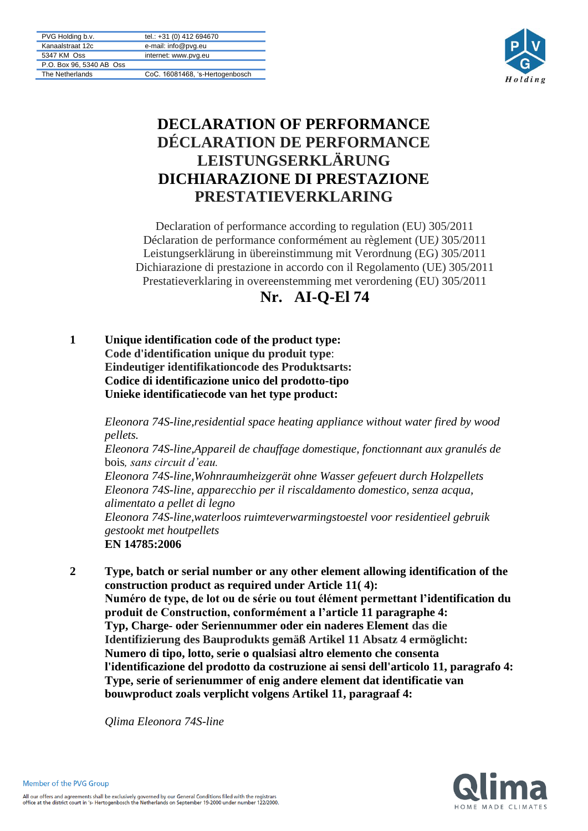| PVG Holding b.v.         | tel.: +31 (0) 412 694670        |
|--------------------------|---------------------------------|
| Kanaalstraat 12c         | e-mail: info@pvg.eu             |
| 5347 KM Oss              | internet: www.pvg.eu            |
| P.O. Box 96, 5340 AB Oss |                                 |
| The Netherlands          | CoC. 16081468, 's-Hertogenbosch |



## **DECLARATION OF PERFORMANCE DÉCLARATION DE PERFORMANCE LEISTUNGSERKLÄRUNG DICHIARAZIONE DI PRESTAZIONE PRESTATIEVERKLARING**

Declaration of performance according to regulation (EU) 305/2011 Déclaration de performance conformément au règlement (UE*)* 305/2011 Leistungserklärung in übereinstimmung mit Verordnung (EG) 305/2011 Dichiarazione di prestazione in accordo con il Regolamento (UE) 305/2011 Prestatieverklaring in overeenstemming met verordening (EU) 305/2011



**1 Unique identification code of the product type: Code d'identification unique du produit type**: **Eindeutiger identifikationcode des Produktsarts: Codice di identificazione unico del prodotto-tipo Unieke identificatiecode van het type product:**

> *Eleonora 74S-line,residential space heating appliance without water fired by wood pellets.*

> *Eleonora 74S-line,Appareil de chauffage domestique, fonctionnant aux granulés de* bois*, sans circuit d'eau.*

*Eleonora 74S-line,Wohnraumheizgerät ohne Wasser gefeuert durch Holzpellets Eleonora 74S-line, apparecchio per il riscaldamento domestico, senza acqua, alimentato a pellet di legno*

*Eleonora 74S-line,waterloos ruimteverwarmingstoestel voor residentieel gebruik gestookt met houtpellets* **EN 14785:2006**

**2 Type, batch or serial number or any other element allowing identification of the construction product as required under Article 11( 4): Numéro de type, de lot ou de série ou tout élément permettant l'identification du produit de Construction, conformément a l'article 11 paragraphe 4: Typ, Charge- oder Seriennummer oder ein naderes Element das die Identifizierung des Bauprodukts gemäß Artikel 11 Absatz 4 ermöglicht: Numero di tipo, lotto, serie o qualsiasi altro elemento che consenta l'identificazione del prodotto da costruzione ai sensi dell'articolo 11, paragrafo 4: Type, serie of serienummer of enig andere element dat identificatie van bouwproduct zoals verplicht volgens Artikel 11, paragraaf 4:**

*Qlima Eleonora 74S-line*

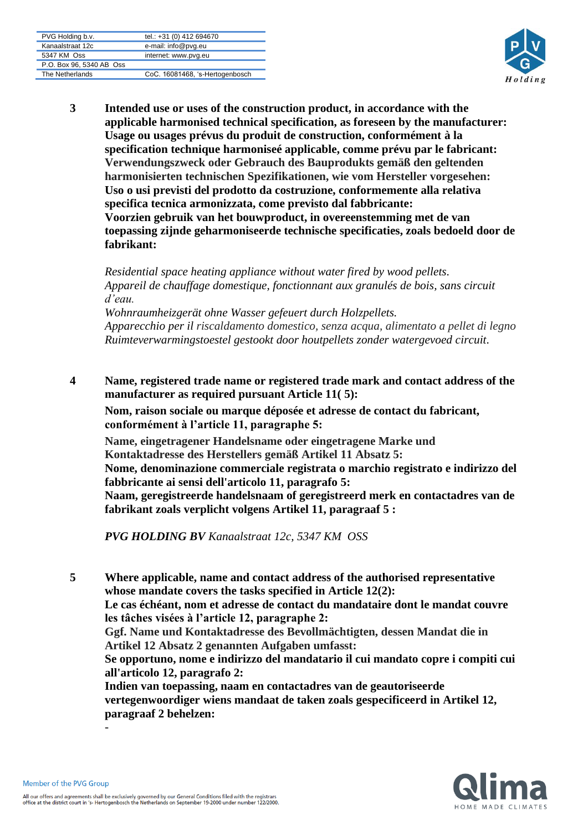| PVG Holding b.v.         | tel.: +31 (0) 412 694670        |
|--------------------------|---------------------------------|
|                          |                                 |
| Kanaalstraat 12c         | e-mail: info@pvg.eu             |
|                          |                                 |
| 5347 KM Oss              | internet: www.pvg.eu            |
|                          |                                 |
| P.O. Box 96, 5340 AB Oss |                                 |
|                          |                                 |
| The Netherlands          | CoC. 16081468, 's-Hertogenbosch |
|                          |                                 |



**3 Intended use or uses of the construction product, in accordance with the applicable harmonised technical specification, as foreseen by the manufacturer: Usage ou usages prévus du produit de construction, conformément à la specification technique harmoniseé applicable, comme prévu par le fabricant: Verwendungszweck oder Gebrauch des Bauprodukts gemäß den geltenden harmonisierten technischen Spezifikationen, wie vom Hersteller vorgesehen: Uso o usi previsti del prodotto da costruzione, conformemente alla relativa specifica tecnica armonizzata, come previsto dal fabbricante: Voorzien gebruik van het bouwproduct, in overeenstemming met de van toepassing zijnde geharmoniseerde technische specificaties, zoals bedoeld door de fabrikant:**

*Residential space heating appliance without water fired by wood pellets. Appareil de chauffage domestique, fonctionnant aux granulés de bois, sans circuit d'eau.*

*Wohnraumheizgerät ohne Wasser gefeuert durch Holzpellets. Apparecchio per il riscaldamento domestico, senza acqua, alimentato a pellet di legno Ruimteverwarmingstoestel gestookt door houtpellets zonder watergevoed circuit.*

**4 Name, registered trade name or registered trade mark and contact address of the manufacturer as required pursuant Article 11( 5):**

**Nom, raison sociale ou marque déposée et adresse de contact du fabricant, conformément à l'article 11, paragraphe 5:** 

**Name, eingetragener Handelsname oder eingetragene Marke und Kontaktadresse des Herstellers gemäß Artikel 11 Absatz 5: Nome, denominazione commerciale registrata o marchio registrato e indirizzo del fabbricante ai sensi dell'articolo 11, paragrafo 5: Naam, geregistreerde handelsnaam of geregistreerd merk en contactadres van de** 

**fabrikant zoals verplicht volgens Artikel 11, paragraaf 5 :**

*PVG HOLDING BV Kanaalstraat 12c, 5347 KM OSS*

**5 Where applicable, name and contact address of the authorised representative whose mandate covers the tasks specified in Article 12(2):**

**Le cas échéant, nom et adresse de contact du mandataire dont le mandat couvre les tâches visées à l'article 12, paragraphe 2:**

**Ggf. Name und Kontaktadresse des Bevollmächtigten, dessen Mandat die in Artikel 12 Absatz 2 genannten Aufgaben umfasst:**

**Se opportuno, nome e indirizzo del mandatario il cui mandato copre i compiti cui all'articolo 12, paragrafo 2:**

**Indien van toepassing, naam en contactadres van de geautoriseerde vertegenwoordiger wiens mandaat de taken zoals gespecificeerd in Artikel 12, paragraaf 2 behelzen:** -

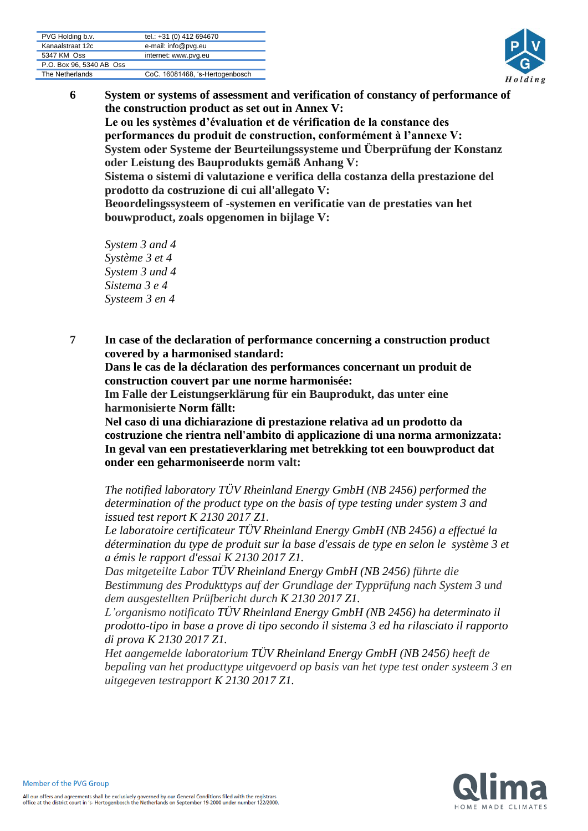| PVG Holding b.v.         | tel.: +31 (0) 412 694670        |
|--------------------------|---------------------------------|
| Kanaalstraat 12c         | e-mail: info@pvg.eu             |
| 5347 KM Oss              | internet: www.pvg.eu            |
| P.O. Box 96, 5340 AB Oss |                                 |
| The Netherlands          | CoC. 16081468, 's-Hertogenbosch |



**6 System or systems of assessment and verification of constancy of performance of the construction product as set out in Annex V: Le ou les systèmes d'évaluation et de vérification de la constance des performances du produit de construction, conformément à l'annexe V: System oder Systeme der Beurteilungssysteme und Überprüfung der Konstanz oder Leistung des Bauprodukts gemäß Anhang V: Sistema o sistemi di valutazione e verifica della costanza della prestazione del prodotto da costruzione di cui all'allegato V: Beoordelingssysteem of -systemen en verificatie van de prestaties van het bouwproduct, zoals opgenomen in bijlage V:**

*System 3 and 4 Système 3 et 4 System 3 und 4 Sistema 3 e 4 Systeem 3 en 4*

**7 In case of the declaration of performance concerning a construction product covered by a harmonised standard:**

**Dans le cas de la déclaration des performances concernant un produit de construction couvert par une norme harmonisée:**

**Im Falle der Leistungserklärung für ein Bauprodukt, das unter eine harmonisierte Norm fällt:**

**Nel caso di una dichiarazione di prestazione relativa ad un prodotto da costruzione che rientra nell'ambito di applicazione di una norma armonizzata: In geval van een prestatieverklaring met betrekking tot een bouwproduct dat onder een geharmoniseerde norm valt:**

*The notified laboratory TÜV Rheinland Energy GmbH (NB 2456) performed the determination of the product type on the basis of type testing under system 3 and issued test report K 2130 2017 Z1.*

*Le laboratoire certificateur TÜV Rheinland Energy GmbH (NB 2456) a effectué la détermination du type de produit sur la base d'essais de type en selon le système 3 et a émis le rapport d'essai K 2130 2017 Z1.*

*Das mitgeteilte Labor TÜV Rheinland Energy GmbH (NB 2456) führte die Bestimmung des Produkttyps auf der Grundlage der Typprüfung nach System 3 und dem ausgestellten Prüfbericht durch K 2130 2017 Z1.*

*L'organismo notificato TÜV Rheinland Energy GmbH (NB 2456) ha determinato il prodotto-tipo in base a prove di tipo secondo il sistema 3 ed ha rilasciato il rapporto di prova K 2130 2017 Z1.*

*Het aangemelde laboratorium TÜV Rheinland Energy GmbH (NB 2456) heeft de bepaling van het producttype uitgevoerd op basis van het type test onder systeem 3 en uitgegeven testrapport K 2130 2017 Z1.*

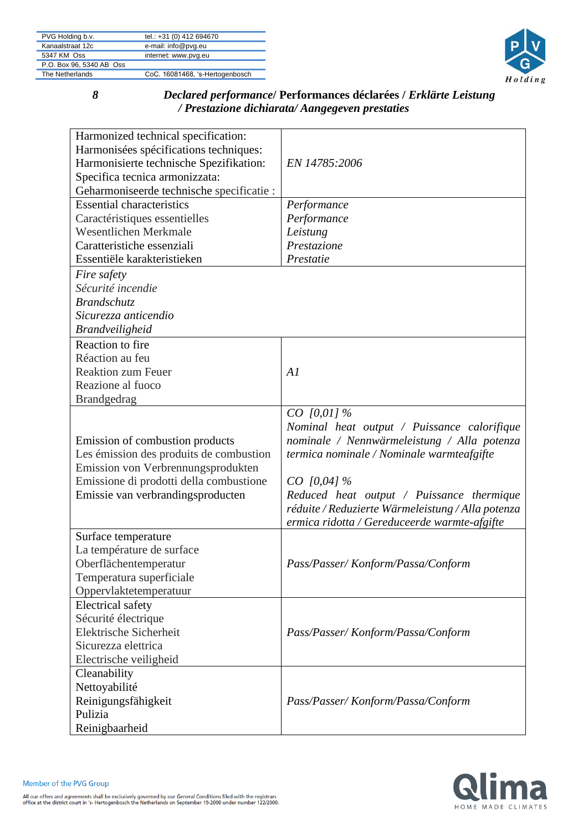| PVG Holding b.v.         | tel.: +31 (0) 412 694670        |
|--------------------------|---------------------------------|
| Kanaalstraat 12c         | e-mail: info@pvg.eu             |
| 5347 KM Oss              | internet: www.pvg.eu            |
| P.O. Box 96, 5340 AB Oss |                                 |
| The Netherlands          | CoC. 16081468, 's-Hertogenbosch |



## *8 Declared performance***/ Performances déclarées /** *Erklärte Leistung / Prestazione dichiarata/ Aangegeven prestaties*

| Harmonized technical specification:       |                                                   |
|-------------------------------------------|---------------------------------------------------|
| Harmonisées spécifications techniques:    |                                                   |
| Harmonisierte technische Spezifikation:   | EN 14785:2006                                     |
| Specifica tecnica armonizzata:            |                                                   |
| Geharmoniseerde technische specificatie : |                                                   |
| <b>Essential characteristics</b>          | Performance                                       |
| Caractéristiques essentielles             | Performance                                       |
| <b>Wesentlichen Merkmale</b>              | Leistung                                          |
| Caratteristiche essenziali                | Prestazione                                       |
| Essentiële karakteristieken               | Prestatie                                         |
| Fire safety                               |                                                   |
| Sécurité incendie                         |                                                   |
| Brandschutz                               |                                                   |
| Sicurezza anticendio                      |                                                   |
| <b>Brandveiligheid</b>                    |                                                   |
| Reaction to fire                          |                                                   |
| Réaction au feu                           |                                                   |
| <b>Reaktion zum Feuer</b>                 | AI                                                |
| Reazione al fuoco                         |                                                   |
| <b>Brandgedrag</b>                        |                                                   |
|                                           | $CO$ [0,01] %                                     |
|                                           | Nominal heat output / Puissance calorifique       |
| Emission of combustion products           | nominale / Nennwärmeleistung / Alla potenza       |
| Les émission des produits de combustion   | termica nominale / Nominale warmteafgifte         |
| Emission von Verbrennungsprodukten        |                                                   |
| Emissione di prodotti della combustione   | $CO$ [0,04] %                                     |
| Emissie van verbrandingsproducten         | Reduced heat output / Puissance thermique         |
|                                           | réduite / Reduzierte Wärmeleistung / Alla potenza |
|                                           | ermica ridotta / Gereduceerde warmte-afgifte      |
| Surface temperature                       |                                                   |
| La température de surface                 |                                                   |
| Oberflächentemperatur                     | Pass/Passer/Konform/Passa/Conform                 |
| Temperatura superficiale                  |                                                   |
| Oppervlaktetemperatuur                    |                                                   |
| <b>Electrical safety</b>                  |                                                   |
| Sécurité électrique                       |                                                   |
| Elektrische Sicherheit                    | Pass/Passer/Konform/Passa/Conform                 |
| Sicurezza elettrica                       |                                                   |
| Electrische veiligheid                    |                                                   |
| Cleanability                              |                                                   |
| Nettoyabilité                             |                                                   |
| Reinigungsfähigkeit                       | Pass/Passer/Konform/Passa/Conform                 |
| Pulizia                                   |                                                   |
| Reinigbaarheid                            |                                                   |
|                                           |                                                   |

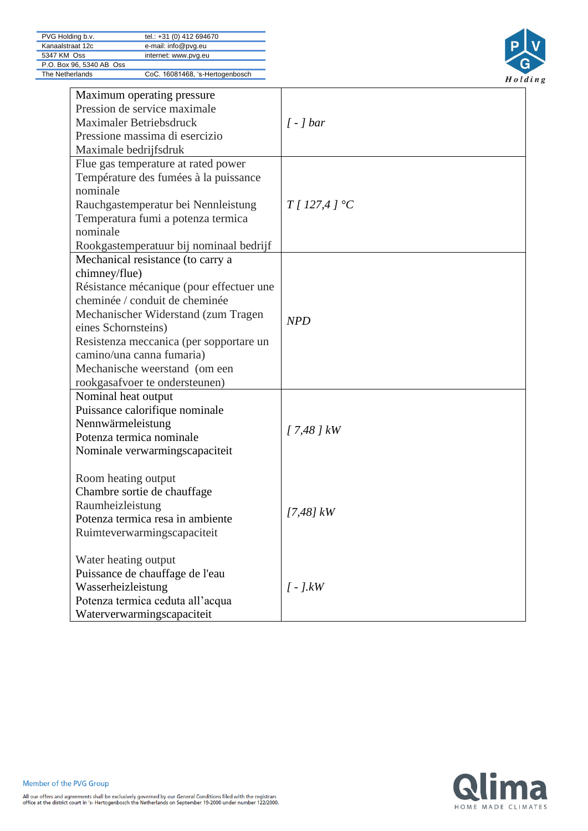

| Maximum operating pressure<br>Pression de service maximale<br>Maximaler Betriebsdruck<br>Pressione massima di esercizio<br>Maximale bedrijfsdruk                                                                                                                                                                                          | $\int -\int bar$ |
|-------------------------------------------------------------------------------------------------------------------------------------------------------------------------------------------------------------------------------------------------------------------------------------------------------------------------------------------|------------------|
| Flue gas temperature at rated power<br>Température des fumées à la puissance<br>nominale<br>Rauchgastemperatur bei Nennleistung<br>Temperatura fumi a potenza termica<br>nominale<br>Rookgastemperatuur bij nominaal bedrijf                                                                                                              | T/127,4/°C       |
| Mechanical resistance (to carry a<br>chimney/flue)<br>Résistance mécanique (pour effectuer une<br>cheminée / conduit de cheminée<br>Mechanischer Widerstand (zum Tragen<br>eines Schornsteins)<br>Resistenza meccanica (per sopportare un<br>camino/una canna fumaria)<br>Mechanische weerstand (om een<br>rookgasafvoer te ondersteunen) | <b>NPD</b>       |
| Nominal heat output<br>Puissance calorifique nominale<br>Nennwärmeleistung<br>Potenza termica nominale<br>Nominale verwarmingscapaciteit                                                                                                                                                                                                  | $17,48$ $\,$ kW  |
| Room heating output<br>Chambre sortie de chauffage<br>Raumheizleistung<br>Potenza termica resa in ambiente<br>Ruimteverwarmingscapaciteit                                                                                                                                                                                                 | $[7,48]$ kW      |
| Water heating output<br>Puissance de chauffage de l'eau<br>Wasserheizleistung<br>Potenza termica ceduta all'acqua<br>Waterverwarmingscapaciteit                                                                                                                                                                                           | $[-]$ . $kW$     |